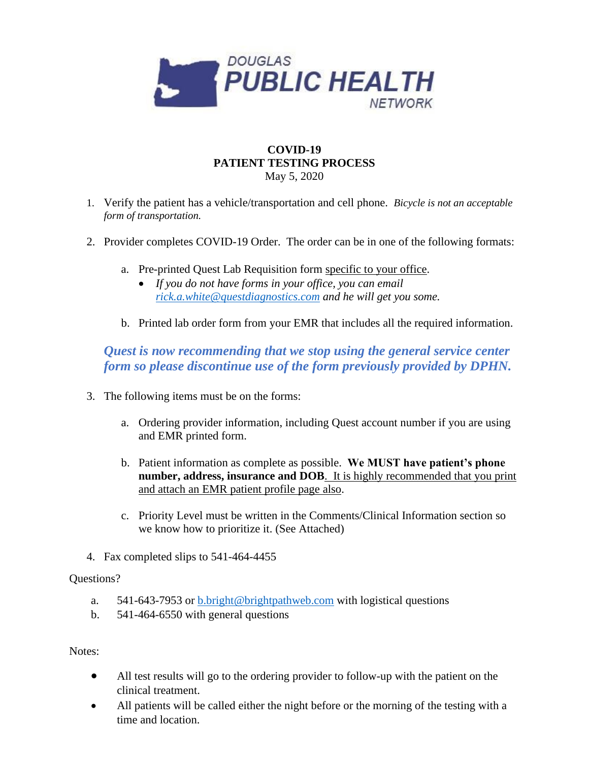

### **COVID-19 PATIENT TESTING PROCESS** May 5, 2020

- 1. Verify the patient has a vehicle/transportation and cell phone. *Bicycle is not an acceptable form of transportation.*
- 2. Provider completes COVID-19 Order. The order can be in one of the following formats:
	- a. Pre-printed Quest Lab Requisition form specific to your office.
		- *If you do not have forms in your office, you can email [rick.a.white@questdiagnostics.com](mailto:rick.a.white@questdiagnostics.com) and he will get you some.*
	- b. Printed lab order form from your EMR that includes all the required information.

### *Quest is now recommending that we stop using the general service center form so please discontinue use of the form previously provided by DPHN.*

- 3. The following items must be on the forms:
	- a. Ordering provider information, including Quest account number if you are using and EMR printed form.
	- b. Patient information as complete as possible. **We MUST have patient's phone number, address, insurance and DOB**. It is highly recommended that you print and attach an EMR patient profile page also.
	- c. Priority Level must be written in the Comments/Clinical Information section so we know how to prioritize it. (See Attached)
- 4. Fax completed slips to 541-464-4455

### Questions?

- a. 541-643-7953 or [b.bright@brightpathweb.com](mailto:b.bright@brightpathweb.com) with logistical questions
- b. 541-464-6550 with general questions

Notes:

- All test results will go to the ordering provider to follow-up with the patient on the clinical treatment.
- All patients will be called either the night before or the morning of the testing with a time and location.